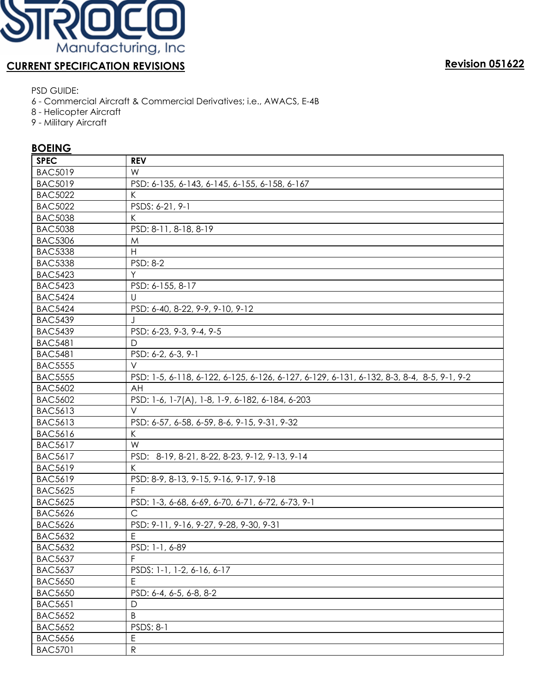

# **CURRENT SPECIFICATION REVISIONS Revision 051622**

PSD GUIDE:

- 6 Commercial Aircraft & Commercial Derivatives; i.e., AWACS, E-4B
- 8 Helicopter Aircraft
- 9 Military Aircraft

### **BOEING**

| <b>SPEC</b>    | <b>REV</b>                                                                                |  |  |
|----------------|-------------------------------------------------------------------------------------------|--|--|
| <b>BAC5019</b> | W                                                                                         |  |  |
| <b>BAC5019</b> | PSD: 6-135, 6-143, 6-145, 6-155, 6-158, 6-167                                             |  |  |
| <b>BAC5022</b> | K                                                                                         |  |  |
| <b>BAC5022</b> | PSDS: 6-21, 9-1                                                                           |  |  |
| <b>BAC5038</b> | K                                                                                         |  |  |
| <b>BAC5038</b> | PSD: 8-11, 8-18, 8-19                                                                     |  |  |
| <b>BAC5306</b> | M                                                                                         |  |  |
| <b>BAC5338</b> | $\boldsymbol{\mathsf{H}}$                                                                 |  |  |
| <b>BAC5338</b> | PSD: 8-2                                                                                  |  |  |
| <b>BAC5423</b> | Y                                                                                         |  |  |
| <b>BAC5423</b> | PSD: 6-155, 8-17                                                                          |  |  |
| <b>BAC5424</b> | U                                                                                         |  |  |
| <b>BAC5424</b> | PSD: 6-40, 8-22, 9-9, 9-10, 9-12                                                          |  |  |
| <b>BAC5439</b> |                                                                                           |  |  |
| <b>BAC5439</b> | PSD: 6-23, 9-3, 9-4, 9-5                                                                  |  |  |
| <b>BAC5481</b> | D                                                                                         |  |  |
| <b>BAC5481</b> | PSD: 6-2, 6-3, 9-1                                                                        |  |  |
| <b>BAC5555</b> | $\vee$                                                                                    |  |  |
| <b>BAC5555</b> | PSD: 1-5, 6-118, 6-122, 6-125, 6-126, 6-127, 6-129, 6-131, 6-132, 8-3, 8-4, 8-5, 9-1, 9-2 |  |  |
| <b>BAC5602</b> | AH                                                                                        |  |  |
| <b>BAC5602</b> | PSD: 1-6, 1-7(A), 1-8, 1-9, 6-182, 6-184, 6-203                                           |  |  |
| <b>BAC5613</b> | $\vee$                                                                                    |  |  |
| <b>BAC5613</b> | PSD: 6-57, 6-58, 6-59, 8-6, 9-15, 9-31, 9-32                                              |  |  |
| <b>BAC5616</b> | К                                                                                         |  |  |
| <b>BAC5617</b> | W                                                                                         |  |  |
| <b>BAC5617</b> | PSD: 8-19, 8-21, 8-22, 8-23, 9-12, 9-13, 9-14                                             |  |  |
| <b>BAC5619</b> | K                                                                                         |  |  |
| <b>BAC5619</b> | PSD: 8-9, 8-13, 9-15, 9-16, 9-17, 9-18                                                    |  |  |
| <b>BAC5625</b> | F                                                                                         |  |  |
| <b>BAC5625</b> | PSD: 1-3, 6-68, 6-69, 6-70, 6-71, 6-72, 6-73, 9-1                                         |  |  |
| <b>BAC5626</b> | $\mathsf{C}$                                                                              |  |  |
| <b>BAC5626</b> | PSD: 9-11, 9-16, 9-27, 9-28, 9-30, 9-31                                                   |  |  |
| <b>BAC5632</b> | $\mathsf E$                                                                               |  |  |
| <b>BAC5632</b> | PSD: 1-1, 6-89                                                                            |  |  |
| <b>BAC5637</b> | F                                                                                         |  |  |
| <b>BAC5637</b> | PSDS: 1-1, 1-2, 6-16, 6-17                                                                |  |  |
| <b>BAC5650</b> | E                                                                                         |  |  |
| <b>BAC5650</b> | PSD: 6-4, 6-5, 6-8, 8-2                                                                   |  |  |
| <b>BAC5651</b> | $\mathsf{D}$                                                                              |  |  |
| <b>BAC5652</b> | B                                                                                         |  |  |
| <b>BAC5652</b> | PSDS: 8-1                                                                                 |  |  |
| <b>BAC5656</b> | E                                                                                         |  |  |
| <b>BAC5701</b> | ${\sf R}$                                                                                 |  |  |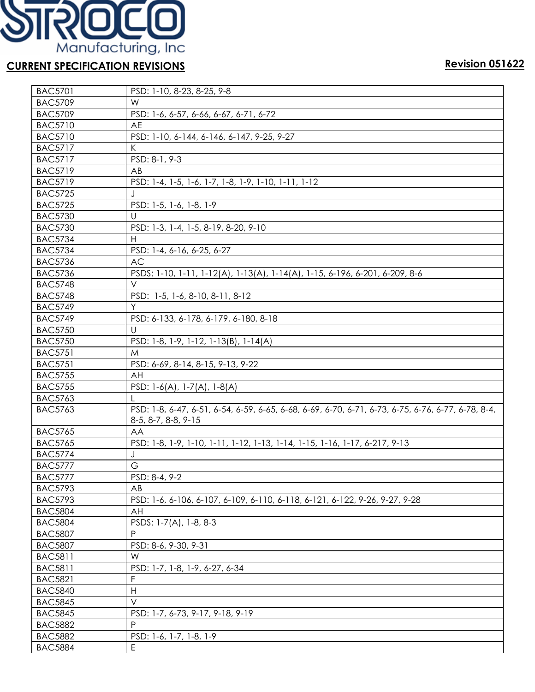

| <b>BAC5701</b> | PSD: 1-10, 8-23, 8-25, 9-8                                                                                                |  |  |
|----------------|---------------------------------------------------------------------------------------------------------------------------|--|--|
| <b>BAC5709</b> | W                                                                                                                         |  |  |
| <b>BAC5709</b> | PSD: 1-6, 6-57, 6-66, 6-67, 6-71, 6-72                                                                                    |  |  |
| <b>BAC5710</b> | AE                                                                                                                        |  |  |
| <b>BAC5710</b> | PSD: 1-10, 6-144, 6-146, 6-147, 9-25, 9-27                                                                                |  |  |
| <b>BAC5717</b> | K                                                                                                                         |  |  |
| <b>BAC5717</b> | PSD: 8-1, 9-3                                                                                                             |  |  |
| <b>BAC5719</b> | AB                                                                                                                        |  |  |
| <b>BAC5719</b> | PSD: 1-4, 1-5, 1-6, 1-7, 1-8, 1-9, 1-10, 1-11, 1-12                                                                       |  |  |
| <b>BAC5725</b> |                                                                                                                           |  |  |
| <b>BAC5725</b> | PSD: 1-5, 1-6, 1-8, 1-9                                                                                                   |  |  |
| <b>BAC5730</b> | U                                                                                                                         |  |  |
| <b>BAC5730</b> | PSD: 1-3, 1-4, 1-5, 8-19, 8-20, 9-10                                                                                      |  |  |
| <b>BAC5734</b> | H                                                                                                                         |  |  |
| <b>BAC5734</b> | PSD: 1-4, 6-16, 6-25, 6-27                                                                                                |  |  |
| <b>BAC5736</b> | <b>AC</b>                                                                                                                 |  |  |
| <b>BAC5736</b> | PSDS: 1-10, 1-11, 1-12(A), 1-13(A), 1-14(A), 1-15, 6-196, 6-201, 6-209, 8-6                                               |  |  |
| <b>BAC5748</b> | V                                                                                                                         |  |  |
| <b>BAC5748</b> | PSD: 1-5, 1-6, 8-10, 8-11, 8-12                                                                                           |  |  |
| <b>BAC5749</b> | Y                                                                                                                         |  |  |
| <b>BAC5749</b> | PSD: 6-133, 6-178, 6-179, 6-180, 8-18                                                                                     |  |  |
| <b>BAC5750</b> | U                                                                                                                         |  |  |
| <b>BAC5750</b> | PSD: 1-8, 1-9, 1-12, 1-13(B), 1-14(A)                                                                                     |  |  |
| <b>BAC5751</b> | M                                                                                                                         |  |  |
| <b>BAC5751</b> | PSD: 6-69, 8-14, 8-15, 9-13, 9-22                                                                                         |  |  |
| <b>BAC5755</b> | AH                                                                                                                        |  |  |
| <b>BAC5755</b> | PSD: $1-6(A)$ , $1-7(A)$ , $1-8(A)$                                                                                       |  |  |
| <b>BAC5763</b> | L                                                                                                                         |  |  |
| <b>BAC5763</b> | PSD: 1-8, 6-47, 6-51, 6-54, 6-59, 6-65, 6-68, 6-69, 6-70, 6-71, 6-73, 6-75, 6-76, 6-77, 6-78, 8-4,<br>8-5, 8-7, 8-8, 9-15 |  |  |
| <b>BAC5765</b> | AA                                                                                                                        |  |  |
| <b>BAC5765</b> | PSD: 1-8, 1-9, 1-10, 1-11, 1-12, 1-13, 1-14, 1-15, 1-16, 1-17, 6-217, 9-13                                                |  |  |
| <b>BAC5774</b> | J                                                                                                                         |  |  |
| <b>BAC5777</b> | G                                                                                                                         |  |  |
| <b>BAC5777</b> | PSD: 8-4, 9-2                                                                                                             |  |  |
| <b>BAC5793</b> | AB                                                                                                                        |  |  |
| <b>BAC5793</b> | PSD: 1-6, 6-106, 6-107, 6-109, 6-110, 6-118, 6-121, 6-122, 9-26, 9-27, 9-28                                               |  |  |
| <b>BAC5804</b> | AH                                                                                                                        |  |  |
| <b>BAC5804</b> | PSDS: 1-7(A), 1-8, 8-3                                                                                                    |  |  |
| <b>BAC5807</b> | P                                                                                                                         |  |  |
| <b>BAC5807</b> | PSD: 8-6, 9-30, 9-31                                                                                                      |  |  |
| <b>BAC5811</b> | W                                                                                                                         |  |  |
| <b>BAC5811</b> | PSD: 1-7, 1-8, 1-9, 6-27, 6-34                                                                                            |  |  |
| <b>BAC5821</b> |                                                                                                                           |  |  |
| <b>BAC5840</b> | H                                                                                                                         |  |  |
| <b>BAC5845</b> | $\vee$                                                                                                                    |  |  |
| <b>BAC5845</b> | PSD: 1-7, 6-73, 9-17, 9-18, 9-19                                                                                          |  |  |
| <b>BAC5882</b> | $\sf P$                                                                                                                   |  |  |
| <b>BAC5882</b> | PSD: 1-6, 1-7, 1-8, 1-9                                                                                                   |  |  |
| <b>BAC5884</b> | E                                                                                                                         |  |  |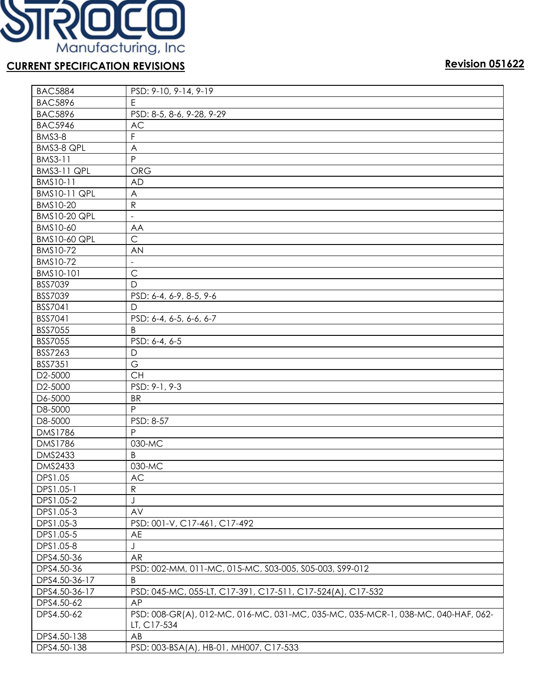

| <b>BAC5884</b>      | PSD: 9-10, 9-14, 9-19                                                            |  |  |  |
|---------------------|----------------------------------------------------------------------------------|--|--|--|
| <b>BAC5896</b>      | E                                                                                |  |  |  |
| <b>BAC5896</b>      | PSD: 8-5, 8-6, 9-28, 9-29                                                        |  |  |  |
| <b>BAC5946</b>      | AC                                                                               |  |  |  |
| BMS3-8              | F                                                                                |  |  |  |
| BMS3-8 QPL          | A                                                                                |  |  |  |
| BMS3-11             | P                                                                                |  |  |  |
| <b>BMS3-11 QPL</b>  | <b>ORG</b>                                                                       |  |  |  |
| BMS10-11            | AD                                                                               |  |  |  |
| <b>BMS10-11 QPL</b> | A                                                                                |  |  |  |
| BMS10-20            | R                                                                                |  |  |  |
| <b>BMS10-20 QPL</b> | $\overline{\phantom{0}}$                                                         |  |  |  |
| BMS10-60            | AA                                                                               |  |  |  |
| <b>BMS10-60 QPL</b> | $\mathsf{C}$                                                                     |  |  |  |
| BMS10-72            | AN                                                                               |  |  |  |
| BMS10-72            | $\overline{\phantom{a}}$                                                         |  |  |  |
| BMS10-101           | $\mathsf{C}$                                                                     |  |  |  |
| BSS7039             | D                                                                                |  |  |  |
| BSS7039             | PSD: 6-4, 6-9, 8-5, 9-6                                                          |  |  |  |
| BSS7041             | D                                                                                |  |  |  |
| BSS7041             | PSD: 6-4, 6-5, 6-6, 6-7                                                          |  |  |  |
| <b>BSS7055</b>      | B                                                                                |  |  |  |
| <b>BSS7055</b>      | PSD: 6-4, 6-5                                                                    |  |  |  |
| BSS7263             | D                                                                                |  |  |  |
| <b>BSS7351</b>      | G                                                                                |  |  |  |
| D2-5000             | <b>CH</b>                                                                        |  |  |  |
| D2-5000             | PSD: 9-1, 9-3                                                                    |  |  |  |
| D6-5000             | <b>BR</b>                                                                        |  |  |  |
| D8-5000             | P                                                                                |  |  |  |
| D8-5000             | PSD: 8-57                                                                        |  |  |  |
| <b>DMS1786</b>      | P                                                                                |  |  |  |
| <b>DMS1786</b>      | 030-MC                                                                           |  |  |  |
| <b>DMS2433</b>      | B                                                                                |  |  |  |
| <b>DMS2433</b>      | 030-MC                                                                           |  |  |  |
| DPS1.05             | $\mathsf{AC}$                                                                    |  |  |  |
| DPS1.05-1           | R                                                                                |  |  |  |
| DPS1.05-2           | J                                                                                |  |  |  |
| DPS1.05-3           | AV                                                                               |  |  |  |
| DPS1.05-3           | PSD: 001-V, C17-461, C17-492                                                     |  |  |  |
| DPS1.05-5           | AE                                                                               |  |  |  |
| DPS1.05-8           | J                                                                                |  |  |  |
| DPS4.50-36          | AR                                                                               |  |  |  |
| DPS4.50-36          | PSD: 002-MM, 011-MC, 015-MC, S03-005, S05-003, S99-012                           |  |  |  |
| DPS4.50-36-17       | B                                                                                |  |  |  |
| DPS4.50-36-17       | PSD: 045-MC, 055-LT, C17-391, C17-511, C17-524(A), C17-532                       |  |  |  |
| DPS4.50-62          | AP                                                                               |  |  |  |
| DPS4.50-62          | PSD: 008-GR(A), 012-MC, 016-MC, 031-MC, 035-MC, 035-MCR-1, 038-MC, 040-HAF, 062- |  |  |  |
|                     | LT, C17-534                                                                      |  |  |  |
| DPS4.50-138         | AB                                                                               |  |  |  |
| DPS4.50-138         | PSD: 003-BSA(A), HB-01, MH007, C17-533                                           |  |  |  |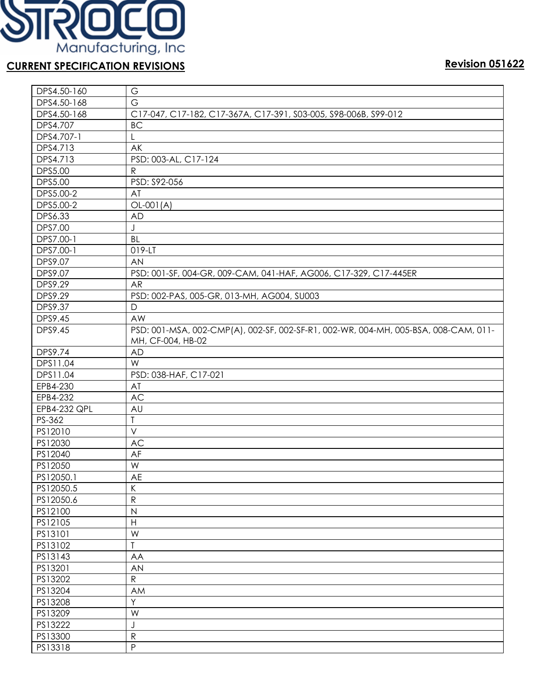

| DPS4.50-160    | G                                                                                                        |  |  |
|----------------|----------------------------------------------------------------------------------------------------------|--|--|
| DPS4.50-168    | $\overline{G}$                                                                                           |  |  |
| DPS4.50-168    | C17-047, C17-182, C17-367A, C17-391, S03-005, S98-006B, S99-012                                          |  |  |
| DPS4.707       | <b>BC</b>                                                                                                |  |  |
| DPS4.707-1     | L                                                                                                        |  |  |
| DPS4.713       | AK                                                                                                       |  |  |
| DPS4.713       | PSD: 003-AL, C17-124                                                                                     |  |  |
| <b>DPS5.00</b> | $\mathsf{R}$                                                                                             |  |  |
| <b>DPS5.00</b> | PSD: S92-056                                                                                             |  |  |
| DPS5.00-2      | AT                                                                                                       |  |  |
| DPS5.00-2      | $OL-001(A)$                                                                                              |  |  |
| DPS6.33        | <b>AD</b>                                                                                                |  |  |
| <b>DPS7.00</b> | J                                                                                                        |  |  |
| DPS7.00-1      | BL                                                                                                       |  |  |
| DPS7.00-1      | 019-LT                                                                                                   |  |  |
| DPS9.07        | <b>AN</b>                                                                                                |  |  |
| DPS9.07        | PSD: 001-SF, 004-GR, 009-CAM, 041-HAF, AG006, C17-329, C17-445ER                                         |  |  |
| DPS9.29        | <b>AR</b>                                                                                                |  |  |
| DPS9.29        | PSD: 002-PAS, 005-GR, 013-MH, AG004, SU003                                                               |  |  |
| DPS9.37        | $\mathsf{D}$                                                                                             |  |  |
| DPS9.45        | AW                                                                                                       |  |  |
| DPS9.45        | PSD: 001-MSA, 002-CMP(A), 002-SF, 002-SF-R1, 002-WR, 004-MH, 005-BSA, 008-CAM, 011-<br>MH, CF-004, HB-02 |  |  |
| DPS9.74        | <b>AD</b>                                                                                                |  |  |
| DPS11.04       | W                                                                                                        |  |  |
| DPS11.04       | PSD: 038-HAF, C17-021                                                                                    |  |  |
| EPB4-230       | AT                                                                                                       |  |  |
| EPB4-232       | AC                                                                                                       |  |  |
| EPB4-232 QPL   | AU                                                                                                       |  |  |
| PS-362         | T                                                                                                        |  |  |
| PS12010        | $\vee$                                                                                                   |  |  |
| PS12030        | AC                                                                                                       |  |  |
| PS12040        | AF                                                                                                       |  |  |
| PS12050        | W                                                                                                        |  |  |
| PS12050.1      | AE                                                                                                       |  |  |
| PS12050.5      | К                                                                                                        |  |  |
| PS12050.6      | ${\sf R}$                                                                                                |  |  |
| PS12100        | $\mathsf{N}$                                                                                             |  |  |
| PS12105        | $\boldsymbol{\mathsf{H}}$                                                                                |  |  |
| PS13101        | W                                                                                                        |  |  |
| PS13102        | $\mathsf T$                                                                                              |  |  |
| PS13143        | AA                                                                                                       |  |  |
| PS13201        | <b>AN</b>                                                                                                |  |  |
| PS13202        | ${\sf R}$                                                                                                |  |  |
| PS13204        | AM                                                                                                       |  |  |
| PS13208        | Y                                                                                                        |  |  |
| PS13209        | W                                                                                                        |  |  |
| PS13222        | J                                                                                                        |  |  |
| PS13300        | ${\sf R}$                                                                                                |  |  |
| PS13318        | $\mathsf{P}$                                                                                             |  |  |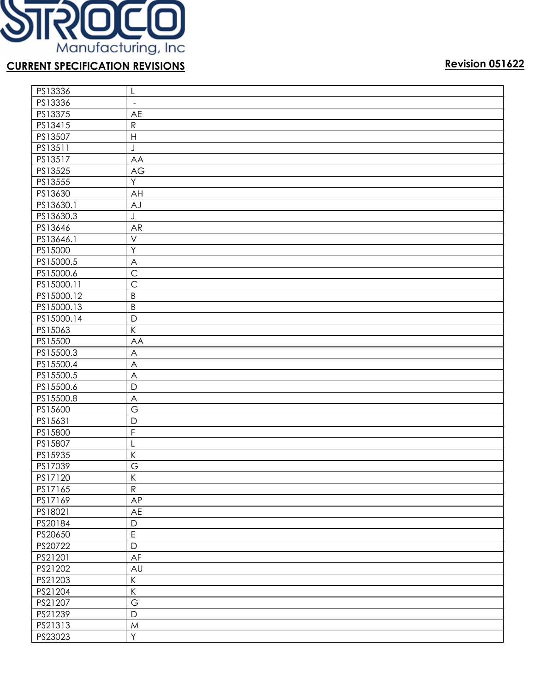

| PS13336    | L                         |
|------------|---------------------------|
| PS13336    | $\blacksquare$            |
| PS13375    | AE                        |
| PS13415    | ${\sf R}$                 |
| PS13507    | $\boldsymbol{\mathsf{H}}$ |
| PS13511    | J                         |
| PS13517    | AA                        |
| PS13525    | AG                        |
| PS13555    | Y                         |
| PS13630    | AH                        |
| PS13630.1  | AJ                        |
| PS13630.3  | J                         |
| PS13646    | AR                        |
| PS13646.1  | $\vee$                    |
| PS15000    | Y                         |
| PS15000.5  | $\boldsymbol{\mathsf{A}}$ |
| PS15000.6  | $\mathsf{C}$              |
| PS15000.11 | $\mathsf{C}$              |
| PS15000.12 | $\sf B$                   |
| PS15000.13 | $\sf B$                   |
| PS15000.14 | $\mathsf{D}%$             |
| PS15063    | $\sf K$                   |
| PS15500    | AA                        |
| PS15500.3  | $\overline{\mathsf{A}}$   |
| PS15500.4  | $\overline{\mathsf{A}}$   |
| PS15500.5  | A                         |
| PS15500.6  | D                         |
| PS15500.8  | $\overline{\mathsf{A}}$   |
| PS15600    | G                         |
| PS15631    | D                         |
| PS15800    | $\mathsf F$               |
| PS15807    | L                         |
| PS15935    | $\sf K$                   |
| PS17039    | $\overline{G}$            |
| PS17120    | $\overline{K}$            |
| PS17165    | ${\sf R}$                 |
| PS17169    | AP                        |
| PS18021    | AE                        |
| PS20184    | $\mathsf D$               |
| PS20650    | $\overline{E}$            |
| PS20722    | $\mathsf D$               |
| PS21201    | AF                        |
| PS21202    | AU                        |
| PS21203    | $\sf K$                   |
| PS21204    | $\sf K$                   |
| PS21207    | $\mathsf G$               |
| PS21239    | $\mathsf D$               |
| PS21313    | M                         |
| PS23023    | Y                         |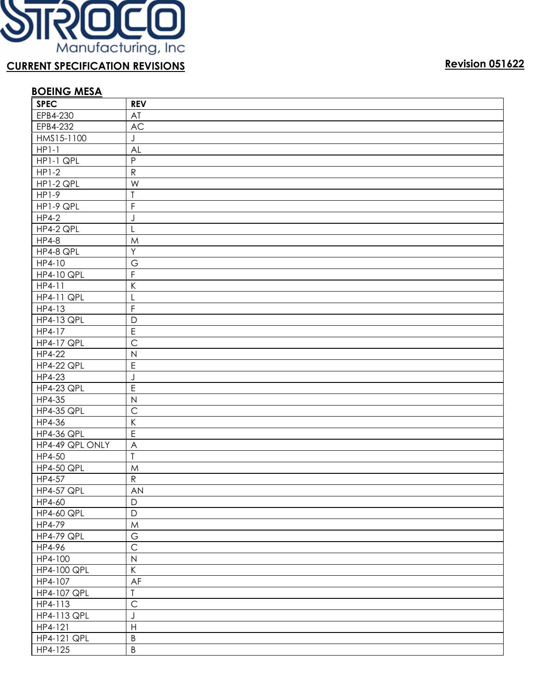

# **BOEING MESA**

| <b>SPEC</b>        | <b>REV</b>                                |
|--------------------|-------------------------------------------|
| EPB4-230           | AT                                        |
| EPB4-232           | AC                                        |
| HMS15-1100         | J                                         |
| $HP1-1$            | AL                                        |
| HP1-1 QPL          | $\mathsf{P}$                              |
| $HP1-2$            | ${\sf R}$                                 |
| HP1-2 QPL          | W                                         |
| $HP1-9$            | $\overline{1}$                            |
| HP1-9 QPL          | F                                         |
| <b>HP4-2</b>       | J                                         |
| HP4-2 QPL          | L                                         |
| <b>HP4-8</b>       | M                                         |
| HP4-8 QPL          | Y                                         |
| HP4-10             | G                                         |
| <b>HP4-10 QPL</b>  | $\overline{F}$                            |
| HP4-11             | $\sf K$                                   |
| <b>HP4-11 QPL</b>  | L                                         |
| HP4-13             | $\mathsf F$                               |
| <b>HP4-13 QPL</b>  | $\mathsf{D}$                              |
| HP4-17             | $\overline{E}$                            |
| <b>HP4-17 QPL</b>  | $\overline{C}$                            |
| HP4-22             | $\mathsf{N}$                              |
| <b>HP4-22 QPL</b>  | $\mathsf E$                               |
| HP4-23             | J                                         |
| <b>HP4-23 QPL</b>  | $\mathsf E$                               |
| HP4-35             | $\overline{N}$                            |
| <b>HP4-35 QPL</b>  | $\overline{C}$                            |
| HP4-36             | $\sf K$                                   |
| <b>HP4-36 QPL</b>  | $\mathsf E$                               |
| HP4-49 QPL ONLY    | $\overline{\mathsf{A}}$                   |
| HP4-50             | $\overline{1}$                            |
| <b>HP4-50 QPL</b>  | ${\sf M}$                                 |
| HP4-57             | ${\sf R}$                                 |
| <b>HP4-57 QPL</b>  | AN                                        |
| HP4-60             | D                                         |
| <b>HP4-60 QPL</b>  | $\mathsf{D}$                              |
| HP4-79             | ${\sf M}$                                 |
| <b>HP4-79 QPL</b>  | $\mathbb{G}% _{C}^{\ast}(\mathbb{G}_{C})$ |
| HP4-96             | $\overline{C}$                            |
| HP4-100            | $\mathsf{N}$                              |
| HP4-100 QPL        | $\mathsf K$                               |
| HP4-107            | AF                                        |
| <b>HP4-107 QPL</b> | $\overline{I}$                            |
| HP4-113            | $\mathsf{C}$                              |
| HP4-113 QPL        | $\bigcup$                                 |
| HP4-121            | $\mathsf{H}%$                             |
| <b>HP4-121 QPL</b> | $\sf B$                                   |
| HP4-125            | $\sf B$                                   |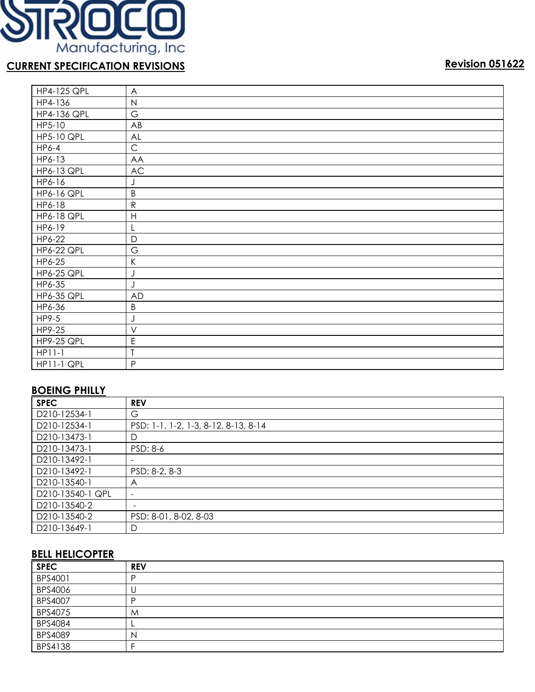

| <b>HP4-125 QPL</b> | A                   |
|--------------------|---------------------|
| HP4-136            | $\mathsf{N}\xspace$ |
| <b>HP4-136 QPL</b> | G                   |
| HP5-10             | AB                  |
| <b>HP5-10 QPL</b>  | AL                  |
| HP6-4              | $\mathsf C$         |
| HP6-13             | AA                  |
| <b>HP6-13 QPL</b>  | <b>AC</b>           |
| HP6-16             | J                   |
| <b>HP6-16 QPL</b>  | B                   |
| HP6-18             | ${\sf R}$           |
| <b>HP6-18 QPL</b>  | H                   |
| HP6-19             | L                   |
| HP6-22             | $\mathsf{D}$        |
| <b>HP6-22 QPL</b>  | G                   |
| HP6-25             | K                   |
| <b>HP6-25 QPL</b>  | J                   |
| HP6-35             | J                   |
| <b>HP6-35 QPL</b>  | <b>AD</b>           |
| HP6-36             | B                   |
| HP9-5              | J                   |
| HP9-25             | $\vee$              |
| <b>HP9-25 QPL</b>  | E                   |
| $HP11-1$           | T                   |
| HP11-1 QPL         | P                   |

# **BOEING PHILLY**

| <b>SPEC</b>      | <b>REV</b>                           |
|------------------|--------------------------------------|
| D210-12534-1     | G                                    |
| D210-12534-1     | PSD: 1-1, 1-2, 1-3, 8-12, 8-13, 8-14 |
| D210-13473-1     | D                                    |
| D210-13473-1     | PSD: 8-6                             |
| D210-13492-1     |                                      |
| D210-13492-1     | PSD: 8-2, 8-3                        |
| D210-13540-1     | A                                    |
| D210-13540-1 QPL | $\qquad \qquad \blacksquare$         |
| D210-13540-2     | $\overline{\phantom{0}}$             |
| D210-13540-2     | PSD: 8-01, 8-02, 8-03                |
| D210-13649-1     | D                                    |

### **BELL HELICOPTER**

| <b>SPEC</b> | <b>REV</b> |
|-------------|------------|
| BPS4001     |            |
| BPS4006     | U          |
| BPS4007     | D          |
| BPS4075     | M          |
| BPS4084     |            |
| BPS4089     | N          |
| BPS4138     |            |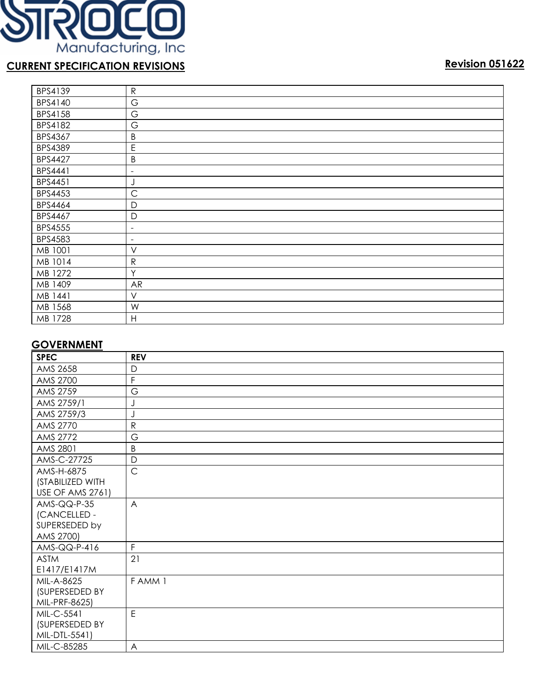

| BPS4139        | ${\sf R}$                |
|----------------|--------------------------|
| BPS4140        | G                        |
| BPS4158        | G                        |
| BPS4182        | G                        |
| BPS4367        | B                        |
| <b>BPS4389</b> | Ε                        |
| <b>BPS4427</b> | B                        |
| BPS4441        | $\overline{\phantom{a}}$ |
| BPS4451        | J                        |
| <b>BPS4453</b> | $\mathsf{C}$             |
| <b>BPS4464</b> | $\mathsf{D}$             |
| BPS4467        | $\mathsf{D}$             |
| <b>BPS4555</b> | $\overline{\phantom{a}}$ |
| <b>BPS4583</b> | $\overline{\phantom{a}}$ |
| MB 1001        | $\vee$                   |
| MB 1014        | $\mathsf{R}$             |
| MB 1272        | Y                        |
| MB 1409        | <b>AR</b>                |
| MB 1441        | $\vee$                   |
| MB 1568        | W                        |
| MB 1728        | H                        |

### **GOVERNMENT**

| <b>SPEC</b>             | <b>REV</b>              |
|-------------------------|-------------------------|
| AMS 2658                | D                       |
| AMS 2700                | F                       |
| AMS 2759                | G                       |
| AMS 2759/1              |                         |
| AMS 2759/3              |                         |
| AMS 2770                | ${\sf R}$               |
| AMS 2772                | G                       |
| AMS 2801                | B                       |
| AMS-C-27725             | $\mathsf{D}$            |
| AMS-H-6875              | $\mathsf{C}$            |
| (STABILIZED WITH        |                         |
| <b>USE OF AMS 2761)</b> |                         |
| $AMS-QQ-P-35$           | $\overline{A}$          |
| (CANCELLED -            |                         |
| SUPERSEDED by           |                         |
| AMS 2700)               |                         |
| AMS-QQ-P-416            | $\overline{F}$          |
| <b>ASTM</b>             | 21                      |
| E1417/E1417M            |                         |
| MIL-A-8625              | FAMM 1                  |
| (SUPERSEDED BY          |                         |
| MIL-PRF-8625)           |                         |
| MIL-C-5541              | E                       |
| (SUPERSEDED BY          |                         |
| MIL-DTL-5541)           |                         |
| MIL-C-85285             | $\overline{\mathsf{A}}$ |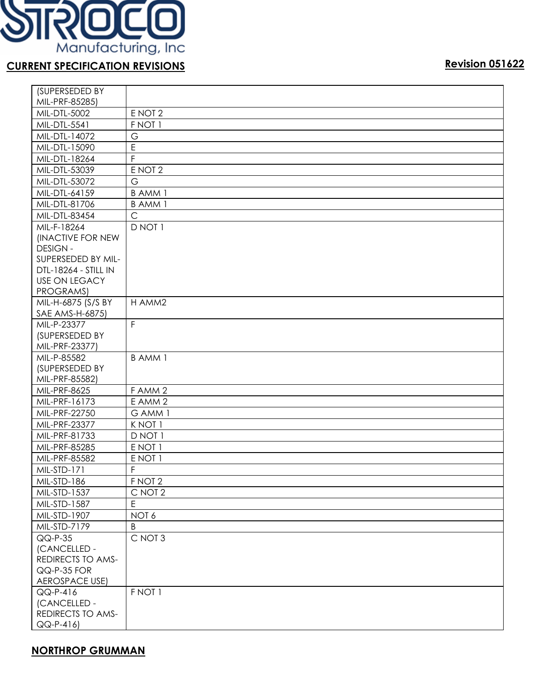

| Revision 05162 |  |
|----------------|--|
|                |  |

| (SUPERSEDED BY           |                   |
|--------------------------|-------------------|
| MIL-PRF-85285)           |                   |
| MIL-DTL-5002             | E NOT 2           |
| MIL-DTL-5541             | F NOT 1           |
| MIL-DTL-14072            | G                 |
| MIL-DTL-15090            | E                 |
| MIL-DTL-18264            | $\mathsf F$       |
| MIL-DTL-53039            | E NOT 2           |
| MIL-DTL-53072            | G                 |
| MIL-DTL-64159            | <b>BAMM1</b>      |
| MIL-DTL-81706            | <b>BAMM1</b>      |
| MIL-DTL-83454            | $\mathsf{C}$      |
| MIL-F-18264              | D NOT 1           |
| (INACTIVE FOR NEW        |                   |
| <b>DESIGN-</b>           |                   |
| SUPERSEDED BY MIL-       |                   |
| DTL-18264 - STILL IN     |                   |
| <b>USE ON LEGACY</b>     |                   |
| PROGRAMS)                |                   |
| MIL-H-6875 (S/S BY       | H AMM2            |
| SAE AMS-H-6875)          |                   |
| MIL-P-23377              | F                 |
| (SUPERSEDED BY           |                   |
| MIL-PRF-23377)           |                   |
| MIL-P-85582              | <b>BAMM1</b>      |
| (SUPERSEDED BY           |                   |
| MIL-PRF-85582)           |                   |
| MIL-PRF-8625             | FAMM <sub>2</sub> |
| MIL-PRF-16173            | E AMM 2           |
| MIL-PRF-22750            | G AMM 1           |
| MIL-PRF-23377            | K NOT 1           |
| MIL-PRF-81733            | D NOT 1           |
| MIL-PRF-85285            | E NOT 1           |
| MIL-PRF-85582            | E NOT 1           |
| MIL-STD-171              | F                 |
| MIL-STD-186              | F NOT 2           |
| MIL-STD-1537             | C NOT 2           |
| MIL-STD-1587             | E                 |
| MIL-STD-1907             | NOT 6             |
| MIL-STD-7179             | Β                 |
| $QQ-P-35$                | C NOT 3           |
| (CANCELLED -             |                   |
| <b>REDIRECTS TO AMS-</b> |                   |
| QQ-P-35 FOR              |                   |
| <b>AEROSPACE USE)</b>    |                   |
| QQ-P-416                 | F NOT 1           |
| (CANCELLED -             |                   |
| <b>REDIRECTS TO AMS-</b> |                   |
| $QQ-P-416$               |                   |

# **NORTHROP GRUMMAN**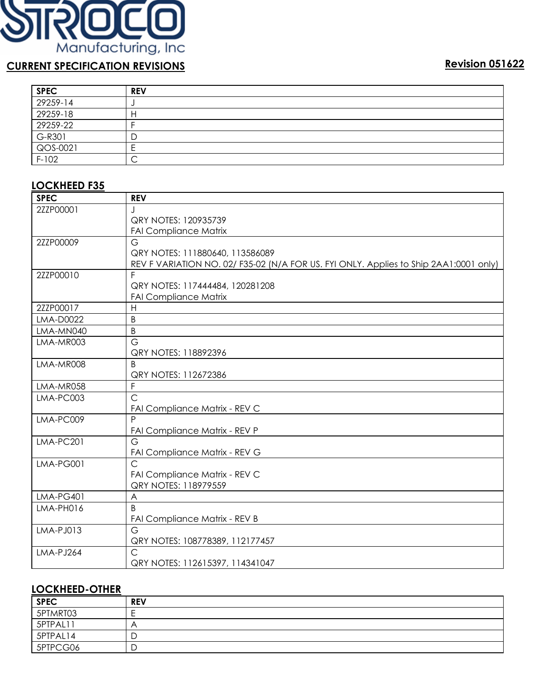

| <b>SPEC</b> | <b>REV</b> |
|-------------|------------|
| 29259-14    |            |
| 29259-18    | н          |
| 29259-22    |            |
| G-R301      | D          |
| QOS-0021    | ┕          |
| $F-102$     | ⌒<br>◡     |

# **LOCKHEED F35**

| <b>SPEC</b>      | <b>REV</b>                                                                            |
|------------------|---------------------------------------------------------------------------------------|
| 2ZZP00001        |                                                                                       |
|                  | QRY NOTES: 120935739                                                                  |
|                  | <b>FAI Compliance Matrix</b>                                                          |
| 2ZZP00009        | G                                                                                     |
|                  | QRY NOTES: 111880640, 113586089                                                       |
|                  | REV F VARIATION NO. 02/ F35-02 (N/A FOR US. FYI ONLY. Applies to Ship 2AA1:0001 only) |
| 2ZZP00010        | F                                                                                     |
|                  | QRY NOTES: 117444484, 120281208                                                       |
|                  | <b>FAI Compliance Matrix</b>                                                          |
| 2ZZP00017        | H                                                                                     |
| LMA-D0022        | B                                                                                     |
| LMA-MN040        | B                                                                                     |
| LMA-MR003        | G                                                                                     |
|                  | QRY NOTES: 118892396                                                                  |
| LMA-MR008        | B                                                                                     |
|                  | QRY NOTES: 112672386                                                                  |
| LMA-MR058        | F                                                                                     |
| LMA-PC003        | $\overline{C}$                                                                        |
|                  | FAI Compliance Matrix - REV C                                                         |
| LMA-PC009        | P                                                                                     |
|                  | FAI Compliance Matrix - REV P                                                         |
| LMA-PC201        | G                                                                                     |
|                  | FAI Compliance Matrix - REV G<br>$\overline{C}$                                       |
| LMA-PG001        |                                                                                       |
|                  | FAI Compliance Matrix - REV C<br>QRY NOTES: 118979559                                 |
| <b>LMA-PG401</b> | A                                                                                     |
| LMA-PH016        | B                                                                                     |
|                  | FAI Compliance Matrix - REV B                                                         |
| LMA-PJ013        | G                                                                                     |
|                  | QRY NOTES: 108778389, 112177457                                                       |
| LMA-PJ264        | $\mathsf{C}$                                                                          |
|                  | QRY NOTES: 112615397, 114341047                                                       |

### **LOCKHEED-OTHER**

| <b>SPEC</b> | <b>REV</b> |
|-------------|------------|
| 5PTMRT03    |            |
| 5PTPAL11    | A          |
| 5PTPAL14    | ◡          |
| 5PTPCG06    | D          |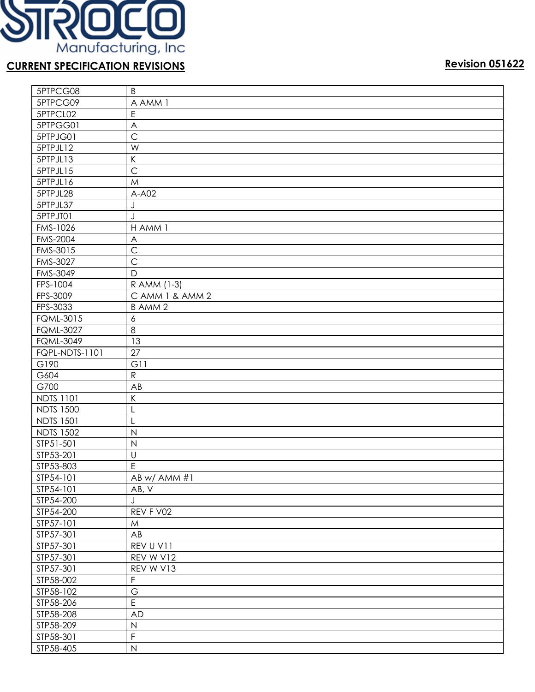

| 5PTPCG08               | B                   |
|------------------------|---------------------|
| 5PTPCG09               | A AMM 1             |
| 5PTPCL02               | E                   |
| 5PTPGG01               | A                   |
| 5PTPJG01               | $\mathsf{C}$        |
| 5PTPJL12               | W                   |
| 5PTPJL13               | Κ                   |
| 5PTPJL15               | $\mathsf{C}$        |
| 5PTPJL16               | M                   |
| 5PTPJL28               | $A-A02$             |
| 5PTPJL37               | J                   |
| 5PTPJT01               | J                   |
| FMS-1026               | H AMM 1             |
| <b>FMS-2004</b>        | A                   |
| FMS-3015               | $\mathsf{C}$        |
| FMS-3027               | $\overline{C}$      |
| FMS-3049               | D                   |
| FPS-1004               | R AMM (1-3)         |
| FPS-3009               | CAMM 1 & AMM 2      |
| FPS-3033               | <b>BAMM2</b>        |
| <b>FQML-3015</b>       | 6                   |
| <b>FQML-3027</b>       | $\overline{8}$      |
| <b>FQML-3049</b>       | 13                  |
| <b>FQPL-NDTS-1101</b>  | $\overline{27}$     |
| G190                   | G11                 |
| G604                   | ${\sf R}$           |
| G700                   | AB                  |
| <b>NDTS 1101</b>       | K                   |
| <b>NDTS 1500</b>       | L                   |
| <b>NDTS 1501</b>       | L                   |
| <b>NDTS 1502</b>       | $\mathsf{N}$        |
| STP51-501              | $\mathsf{N}$        |
| STP53-201              | $\sf U$             |
| STP53-803              | E                   |
| STP54-101              | AB w/ AMM #1        |
| STP54-101              | AB, V               |
| STP54-200              | J                   |
| STP54-200              | REV F V02           |
| STP57-101              |                     |
|                        | M                   |
| STP57-301<br>STP57-301 | AB                  |
|                        | REV U V11           |
| STP57-301              | REV W V12           |
| STP57-301              | REV W V13           |
| STP58-002              | F                   |
| STP58-102              | $\mathsf G$         |
| STP58-206              | E                   |
| STP58-208              | <b>AD</b>           |
| STP58-209              | $\mathsf N$         |
| STP58-301              | $\overline{F}$      |
| STP58-405              | $\mathsf{N}\xspace$ |